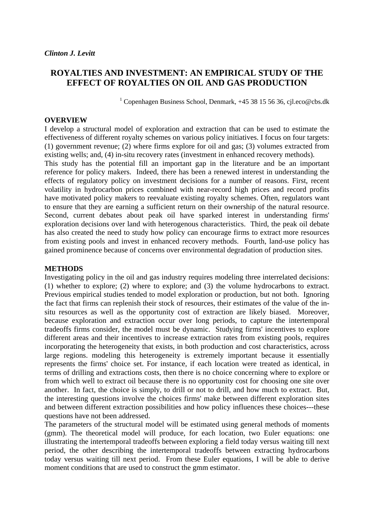## **ROYALTIES AND INVESTMENT: AN EMPIRICAL STUDY OF THE EFFECT OF ROYALTIES ON OIL AND GAS PRODUCTION**

<sup>1</sup> Copenhagen Business School, Denmark, +45 38 15 56 36, cjl.eco@cbs.dk

## **OVERVIEW**

I develop a structural model of exploration and extraction that can be used to estimate the effectiveness of different royalty schemes on various policy initiatives. I focus on four targets: (1) government revenue; (2) where firms explore for oil and gas; (3) volumes extracted from existing wells; and, (4) in-situ recovery rates (investment in enhanced recovery methods).

This study has the potential fill an important gap in the literature and be an important reference for policy makers. Indeed, there has been a renewed interest in understanding the effects of regulatory policy on investment decisions for a number of reasons. First, recent volatility in hydrocarbon prices combined with near-record high prices and record profits have motivated policy makers to reevaluate existing royalty schemes. Often, regulators want to ensure that they are earning a sufficient return on their ownership of the natural resource. Second, current debates about peak oil have sparked interest in understanding firms' exploration decisions over land with heterogenous characteristics. Third, the peak oil debate has also created the need to study how policy can encourage firms to extract more resources from existing pools and invest in enhanced recovery methods. Fourth, land-use policy has gained prominence because of concerns over environmental degradation of production sites.

## **METHODS**

Investigating policy in the oil and gas industry requires modeling three interrelated decisions: (1) whether to explore; (2) where to explore; and (3) the volume hydrocarbons to extract. Previous empirical studies tended to model exploration or production, but not both. Ignoring the fact that firms can replenish their stock of resources, their estimates of the value of the insitu resources as well as the opportunity cost of extraction are likely biased. Moreover, because exploration and extraction occur over long periods, to capture the intertemporal tradeoffs firms consider, the model must be dynamic. Studying firms' incentives to explore different areas and their incentives to increase extraction rates from existing pools, requires incorporating the heterogeneity that exists, in both production and cost characteristics, across large regions. modeling this heterogeneity is extremely important because it essentially represents the firms' choice set. For instance, if each location were treated as identical, in terms of drilling and extractions costs, then there is no choice concerning where to explore or from which well to extract oil because there is no opportunity cost for choosing one site over another. In fact, the choice is simply, to drill or not to drill, and how much to extract. But, the interesting questions involve the choices firms' make between different exploration sites and between different extraction possibilities and how policy influences these choices---these questions have not been addressed.

The parameters of the structural model will be estimated using general methods of moments (gmm). The theoretical model will produce, for each location, two Euler equations: one illustrating the intertemporal tradeoffs between exploring a field today versus waiting till next period, the other describing the intertemporal tradeoffs between extracting hydrocarbons today versus waiting till next period. From these Euler equations, I will be able to derive moment conditions that are used to construct the gmm estimator.